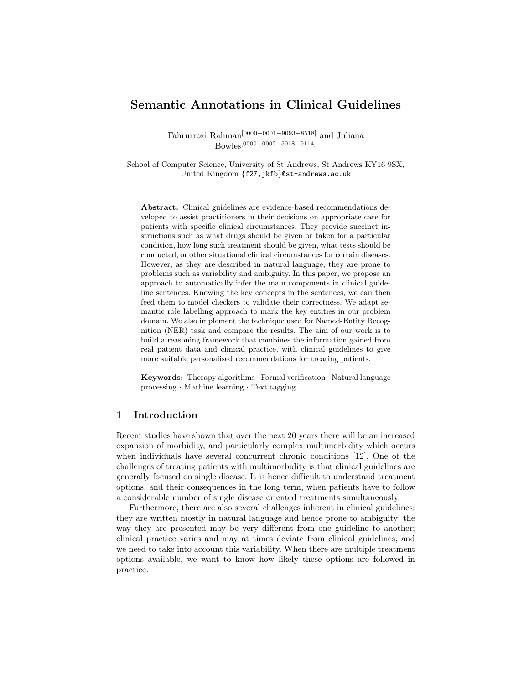# Semantic Annotations in Clinical Guidelines

Fahrurrozi Rahman[0000−0001−9093−8518] and Juliana Bowles[0000−0002−5918−9114]

School of Computer Science, University of St Andrews, St Andrews KY16 9SX, United Kingdom {f27,jkfb}@st-andrews.ac.uk

Abstract. Clinical guidelines are evidence-based recommendations developed to assist practitioners in their decisions on appropriate care for patients with specific clinical circumstances. They provide succinct instructions such as what drugs should be given or taken for a particular condition, how long such treatment should be given, what tests should be conducted, or other situational clinical circumstances for certain diseases. However, as they are described in natural language, they are prone to problems such as variability and ambiguity. In this paper, we propose an approach to automatically infer the main components in clinical guideline sentences. Knowing the key concepts in the sentences, we can then feed them to model checkers to validate their correctness. We adapt semantic role labelling approach to mark the key entities in our problem domain. We also implement the technique used for Named-Entity Recognition (NER) task and compare the results. The aim of our work is to build a reasoning framework that combines the information gained from real patient data and clinical practice, with clinical guidelines to give more suitable personalised recommendations for treating patients.

**Keywords:** Therapy algorithms  $\cdot$  Formal verification  $\cdot$  Natural language processing · Machine learning · Text tagging

## 1 Introduction

Recent studies have shown that over the next 20 years there will be an increased expansion of morbidity, and particularly complex multimorbidity which occurs when individuals have several concurrent chronic conditions [12]. One of the challenges of treating patients with multimorbidity is that clinical guidelines are generally focused on single disease. It is hence difficult to understand treatment options, and their consequences in the long term, when patients have to follow a considerable number of single disease oriented treatments simultaneously.

Furthermore, there are also several challenges inherent in clinical guidelines: they are written mostly in natural language and hence prone to ambiguity; the way they are presented may be very different from one guideline to another; clinical practice varies and may at times deviate from clinical guidelines, and we need to take into account this variability. When there are multiple treatment options available, we want to know how likely these options are followed in practice.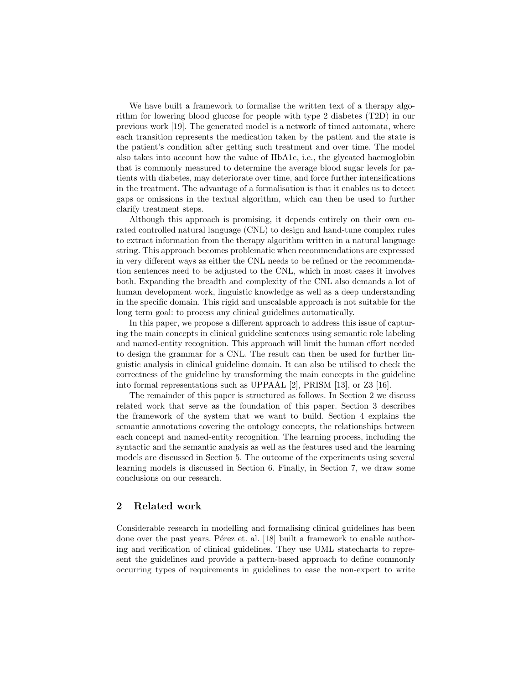We have built a framework to formalise the written text of a therapy algorithm for lowering blood glucose for people with type 2 diabetes (T2D) in our previous work [19]. The generated model is a network of timed automata, where each transition represents the medication taken by the patient and the state is the patient's condition after getting such treatment and over time. The model also takes into account how the value of HbA1c, i.e., the glycated haemoglobin that is commonly measured to determine the average blood sugar levels for patients with diabetes, may deteriorate over time, and force further intensifications in the treatment. The advantage of a formalisation is that it enables us to detect gaps or omissions in the textual algorithm, which can then be used to further clarify treatment steps.

Although this approach is promising, it depends entirely on their own curated controlled natural language (CNL) to design and hand-tune complex rules to extract information from the therapy algorithm written in a natural language string. This approach becomes problematic when recommendations are expressed in very different ways as either the CNL needs to be refined or the recommendation sentences need to be adjusted to the CNL, which in most cases it involves both. Expanding the breadth and complexity of the CNL also demands a lot of human development work, linguistic knowledge as well as a deep understanding in the specific domain. This rigid and unscalable approach is not suitable for the long term goal: to process any clinical guidelines automatically.

In this paper, we propose a different approach to address this issue of capturing the main concepts in clinical guideline sentences using semantic role labeling and named-entity recognition. This approach will limit the human effort needed to design the grammar for a CNL. The result can then be used for further linguistic analysis in clinical guideline domain. It can also be utilised to check the correctness of the guideline by transforming the main concepts in the guideline into formal representations such as UPPAAL [2], PRISM [13], or Z3 [16].

The remainder of this paper is structured as follows. In Section 2 we discuss related work that serve as the foundation of this paper. Section 3 describes the framework of the system that we want to build. Section 4 explains the semantic annotations covering the ontology concepts, the relationships between each concept and named-entity recognition. The learning process, including the syntactic and the semantic analysis as well as the features used and the learning models are discussed in Section 5. The outcome of the experiments using several learning models is discussed in Section 6. Finally, in Section 7, we draw some conclusions on our research.

## 2 Related work

Considerable research in modelling and formalising clinical guidelines has been done over the past years. Pérez et. al.  $[18]$  built a framework to enable authoring and verification of clinical guidelines. They use UML statecharts to represent the guidelines and provide a pattern-based approach to define commonly occurring types of requirements in guidelines to ease the non-expert to write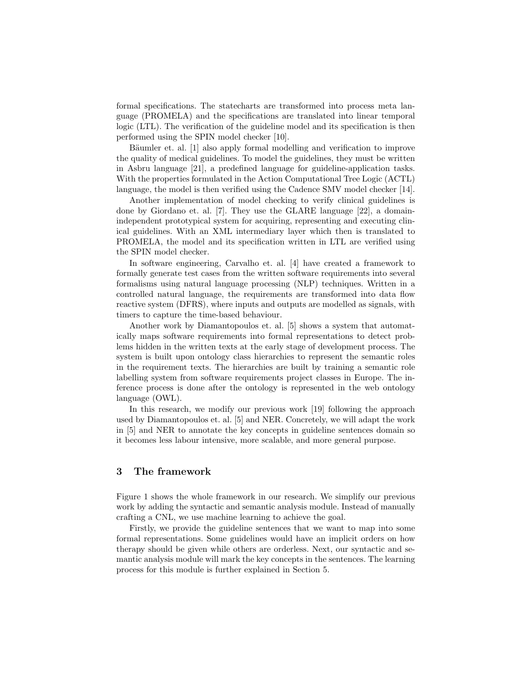formal specifications. The statecharts are transformed into process meta language (PROMELA) and the specifications are translated into linear temporal logic (LTL). The verification of the guideline model and its specification is then performed using the SPIN model checker [10].

Bäumler et. al. [1] also apply formal modelling and verification to improve the quality of medical guidelines. To model the guidelines, they must be written in Asbru language [21], a predefined language for guideline-application tasks. With the properties formulated in the Action Computational Tree Logic (ACTL) language, the model is then verified using the Cadence SMV model checker [14].

Another implementation of model checking to verify clinical guidelines is done by Giordano et. al. [7]. They use the GLARE language [22], a domainindependent prototypical system for acquiring, representing and executing clinical guidelines. With an XML intermediary layer which then is translated to PROMELA, the model and its specification written in LTL are verified using the SPIN model checker.

In software engineering, Carvalho et. al. [4] have created a framework to formally generate test cases from the written software requirements into several formalisms using natural language processing (NLP) techniques. Written in a controlled natural language, the requirements are transformed into data flow reactive system (DFRS), where inputs and outputs are modelled as signals, with timers to capture the time-based behaviour.

Another work by Diamantopoulos et. al. [5] shows a system that automatically maps software requirements into formal representations to detect problems hidden in the written texts at the early stage of development process. The system is built upon ontology class hierarchies to represent the semantic roles in the requirement texts. The hierarchies are built by training a semantic role labelling system from software requirements project classes in Europe. The inference process is done after the ontology is represented in the web ontology language (OWL).

In this research, we modify our previous work [19] following the approach used by Diamantopoulos et. al. [5] and NER. Concretely, we will adapt the work in [5] and NER to annotate the key concepts in guideline sentences domain so it becomes less labour intensive, more scalable, and more general purpose.

## 3 The framework

Figure 1 shows the whole framework in our research. We simplify our previous work by adding the syntactic and semantic analysis module. Instead of manually crafting a CNL, we use machine learning to achieve the goal.

Firstly, we provide the guideline sentences that we want to map into some formal representations. Some guidelines would have an implicit orders on how therapy should be given while others are orderless. Next, our syntactic and semantic analysis module will mark the key concepts in the sentences. The learning process for this module is further explained in Section 5.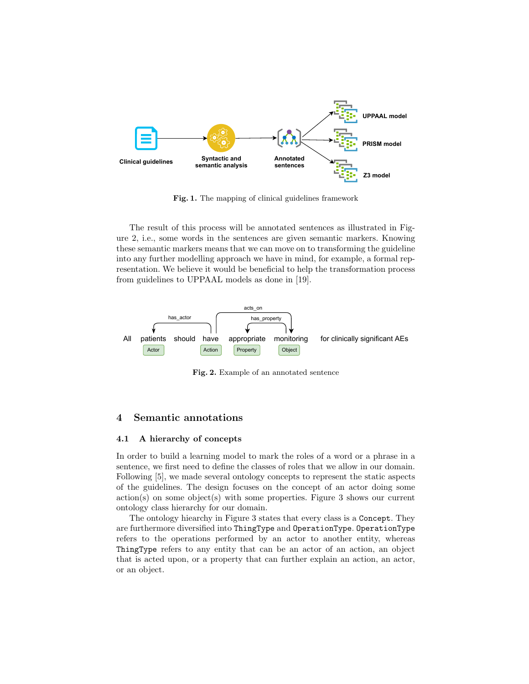

Fig. 1. The mapping of clinical guidelines framework

The result of this process will be annotated sentences as illustrated in Figure 2, i.e., some words in the sentences are given semantic markers. Knowing these semantic markers means that we can move on to transforming the guideline into any further modelling approach we have in mind, for example, a formal representation. We believe it would be beneficial to help the transformation process from guidelines to UPPAAL models as done in [19].



Fig. 2. Example of an annotated sentence

## 4 Semantic annotations

#### 4.1 A hierarchy of concepts

In order to build a learning model to mark the roles of a word or a phrase in a sentence, we first need to define the classes of roles that we allow in our domain. Following [5], we made several ontology concepts to represent the static aspects of the guidelines. The design focuses on the concept of an actor doing some action(s) on some object(s) with some properties. Figure 3 shows our current ontology class hierarchy for our domain.

The ontology hiearchy in Figure 3 states that every class is a Concept. They are furthermore diversified into ThingType and OperationType. OperationType refers to the operations performed by an actor to another entity, whereas ThingType refers to any entity that can be an actor of an action, an object that is acted upon, or a property that can further explain an action, an actor, or an object.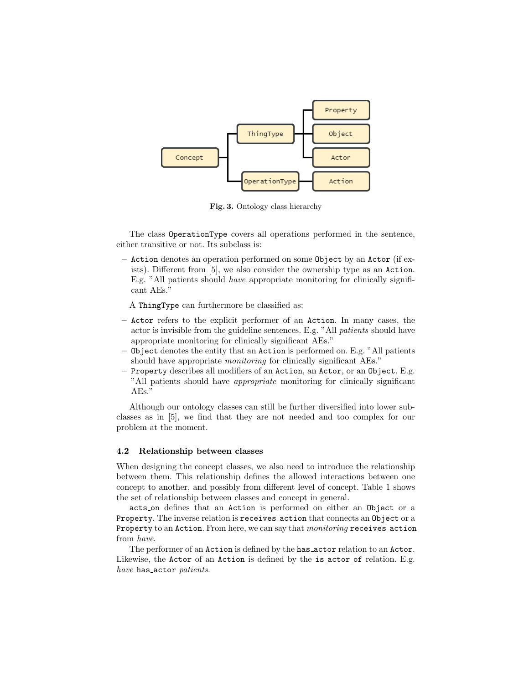

Fig. 3. Ontology class hierarchy

The class OperationType covers all operations performed in the sentence, either transitive or not. Its subclass is:

– Action denotes an operation performed on some Object by an Actor (if exists). Different from [5], we also consider the ownership type as an Action. E.g. "All patients should have appropriate monitoring for clinically significant AEs."

A ThingType can furthermore be classified as:

- Actor refers to the explicit performer of an Action. In many cases, the actor is invisible from the guideline sentences. E.g. "All patients should have appropriate monitoring for clinically significant AEs."
- Object denotes the entity that an Action is performed on. E.g. "All patients should have appropriate monitoring for clinically significant AEs."
- Property describes all modifiers of an Action, an Actor, or an Object. E.g. "All patients should have appropriate monitoring for clinically significant AEs."

Although our ontology classes can still be further diversified into lower subclasses as in [5], we find that they are not needed and too complex for our problem at the moment.

### 4.2 Relationship between classes

When designing the concept classes, we also need to introduce the relationship between them. This relationship defines the allowed interactions between one concept to another, and possibly from different level of concept. Table 1 shows the set of relationship between classes and concept in general.

acts on defines that an Action is performed on either an Object or a Property. The inverse relation is receives\_action that connects an Object or a Property to an Action. From here, we can say that *monitoring* receives action from have.

The performer of an Action is defined by the has actor relation to an Actor. Likewise, the Actor of an Action is defined by the is actor of relation. E.g. have has\_actor patients.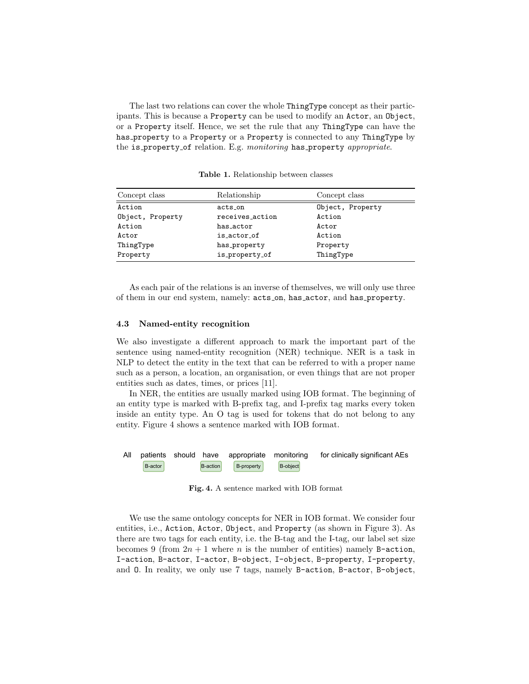The last two relations can cover the whole ThingType concept as their participants. This is because a Property can be used to modify an Actor, an Object, or a Property itself. Hence, we set the rule that any ThingType can have the has property to a Property or a Property is connected to any ThingType by the is\_property\_of relation. E.g. monitoring has\_property appropriate.

| Concept class    | Relationship    | Concept class    |  |
|------------------|-----------------|------------------|--|
| Action           | acts on         | Object, Property |  |
| Object, Property | receives_action | Action           |  |
| Action           | has actor       | Actor            |  |
| Actor            | is actor of     | Action           |  |
| ThingType        | has_property    | Property         |  |
| Property         | is_property_of  | ThingType        |  |

Table 1. Relationship between classes

As each pair of the relations is an inverse of themselves, we will only use three of them in our end system, namely:  $acts\_on$ , has\_actor, and has\_property.

#### 4.3 Named-entity recognition

We also investigate a different approach to mark the important part of the sentence using named-entity recognition (NER) technique. NER is a task in NLP to detect the entity in the text that can be referred to with a proper name such as a person, a location, an organisation, or even things that are not proper entities such as dates, times, or prices [11].

In NER, the entities are usually marked using IOB format. The beginning of an entity type is marked with B-prefix tag, and I-prefix tag marks every token inside an entity type. An O tag is used for tokens that do not belong to any entity. Figure 4 shows a sentence marked with IOB format.



Fig. 4. A sentence marked with IOB format

We use the same ontology concepts for NER in IOB format. We consider four entities, i.e., Action, Actor, Object, and Property (as shown in Figure 3). As there are two tags for each entity, i.e. the B-tag and the I-tag, our label set size becomes 9 (from  $2n + 1$  where n is the number of entities) namely B-action, I-action, B-actor, I-actor, B-object, I-object, B-property, I-property, and O. In reality, we only use 7 tags, namely B-action, B-actor, B-object,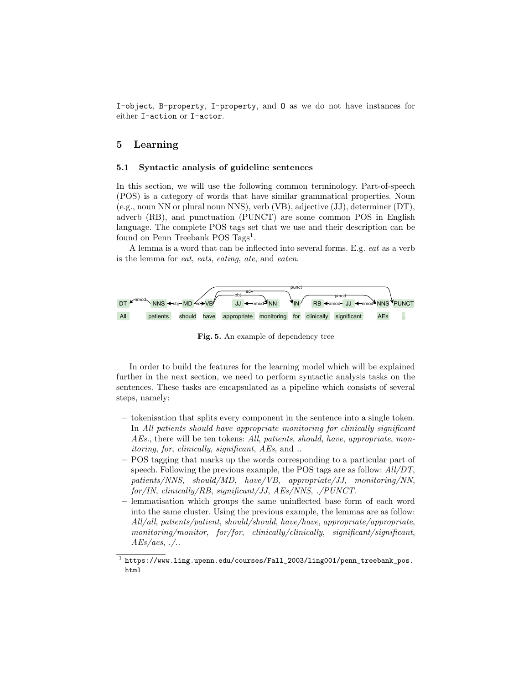I-object, B-property, I-property, and O as we do not have instances for either I-action or I-actor.

## 5 Learning

#### 5.1 Syntactic analysis of guideline sentences

In this section, we will use the following common terminology. Part-of-speech (POS) is a category of words that have similar grammatical properties. Noun (e.g., noun NN or plural noun NNS), verb (VB), adjective (JJ), determiner (DT), adverb (RB), and punctuation (PUNCT) are some common POS in English language. The complete POS tags set that we use and their description can be found on Penn Treebank POS Tags<sup>1</sup>.

A lemma is a word that can be inflected into several forms. E.g. eat as a verb is the lemma for eat, eats, eating, ate, and eaten.



Fig. 5. An example of dependency tree

In order to build the features for the learning model which will be explained further in the next section, we need to perform syntactic analysis tasks on the sentences. These tasks are encapsulated as a pipeline which consists of several steps, namely:

- tokenisation that splits every component in the sentence into a single token. In All patients should have appropriate monitoring for clinically significant AEs., there will be ten tokens: All, patients, should, have, appropriate, monitoring, for, clinically, significant, AEs, and ..
- POS tagging that marks up the words corresponding to a particular part of speech. Following the previous example, the POS tags are as follow: All/DT, patients/NNS, should/MD, have/VB, appropriate/JJ, monitoring/NN, for/IN, clinically/RB, significant/JJ, AEs/NNS, ./PUNCT.
- lemmatisation which groups the same uninflected base form of each word into the same cluster. Using the previous example, the lemmas are as follow: All/all, patients/patient, should/should, have/have, appropriate/appropriate, monitoring/monitor, for/for, clinically/clinically, significant/significant,  $AEs/aes$ , ./..

 $^1$  https://www.ling.upenn.edu/courses/Fall\_2003/ling001/penn\_treebank\_pos. html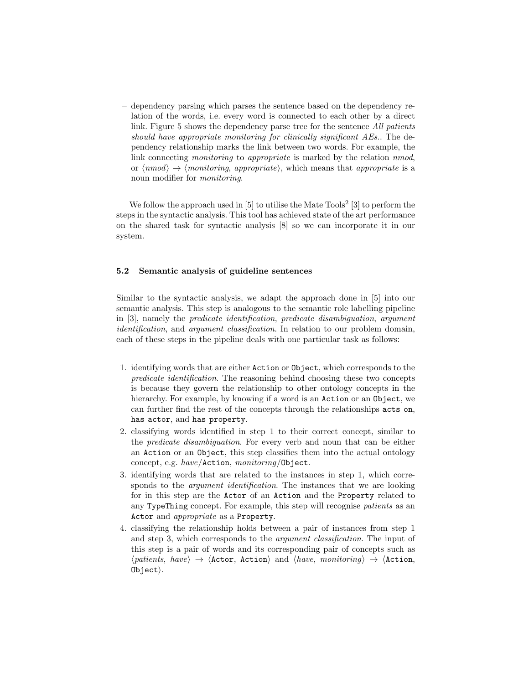– dependency parsing which parses the sentence based on the dependency relation of the words, i.e. every word is connected to each other by a direct link. Figure 5 shows the dependency parse tree for the sentence *All patients* should have appropriate monitoring for clinically significant AEs.. The dependency relationship marks the link between two words. For example, the link connecting *monitoring* to *appropriate* is marked by the relation *nmod*, or  $\langle nmod \rangle \rightarrow \langle$  monitoring, appropriate), which means that appropriate is a noun modifier for monitoring.

We follow the approach used in  $[5]$  to utilise the Mate Tools<sup>2</sup>  $[3]$  to perform the steps in the syntactic analysis. This tool has achieved state of the art performance on the shared task for syntactic analysis [8] so we can incorporate it in our system.

### 5.2 Semantic analysis of guideline sentences

Similar to the syntactic analysis, we adapt the approach done in [5] into our semantic analysis. This step is analogous to the semantic role labelling pipeline in [3], namely the predicate identification, predicate disambiguation, argument identification, and argument classification. In relation to our problem domain, each of these steps in the pipeline deals with one particular task as follows:

- 1. identifying words that are either Action or Object, which corresponds to the predicate identification. The reasoning behind choosing these two concepts is because they govern the relationship to other ontology concepts in the hierarchy. For example, by knowing if a word is an Action or an Object, we can further find the rest of the concepts through the relationships acts on, has\_actor, and has\_property.
- 2. classifying words identified in step 1 to their correct concept, similar to the predicate disambiguation. For every verb and noun that can be either an Action or an Object, this step classifies them into the actual ontology concept, e.g. have/Action, monitoring/Object.
- 3. identifying words that are related to the instances in step 1, which corresponds to the *argument identification*. The instances that we are looking for in this step are the Actor of an Action and the Property related to any TypeThing concept. For example, this step will recognise patients as an Actor and appropriate as a Property.
- 4. classifying the relationship holds between a pair of instances from step 1 and step 3, which corresponds to the argument classification. The input of this step is a pair of words and its corresponding pair of concepts such as  $\langle patients, \; have \rangle \rightarrow \langle Action, \; Action \rangle$  and  $\langle have, \; monitoring \rangle \rightarrow \langle Action,$  $Object$ ).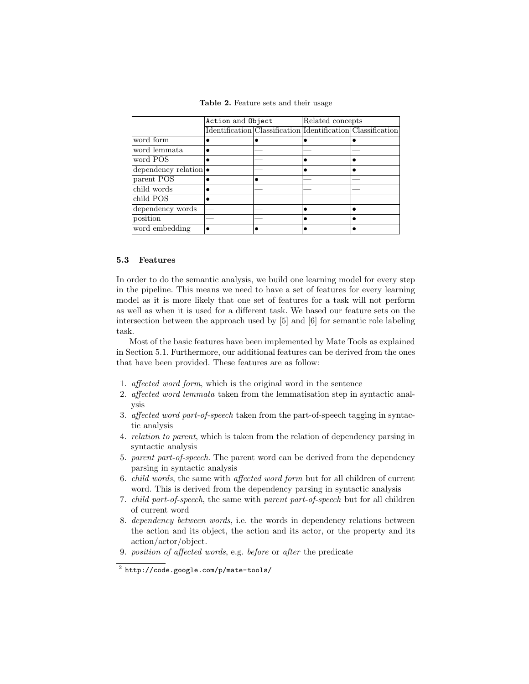Table 2. Feature sets and their usage

|                               | Action and Object |                                                             | Related concepts |  |
|-------------------------------|-------------------|-------------------------------------------------------------|------------------|--|
|                               |                   | Identification Classification Identification Classification |                  |  |
| word form                     |                   |                                                             |                  |  |
| word lemmata                  |                   |                                                             |                  |  |
| word POS                      |                   |                                                             |                  |  |
| dependency relation $\bullet$ |                   |                                                             |                  |  |
| parent POS                    |                   |                                                             |                  |  |
| child words                   |                   |                                                             |                  |  |
| child POS                     |                   |                                                             |                  |  |
| dependency words              |                   |                                                             |                  |  |
| position                      |                   |                                                             |                  |  |
| word embedding                |                   |                                                             |                  |  |

### 5.3 Features

In order to do the semantic analysis, we build one learning model for every step in the pipeline. This means we need to have a set of features for every learning model as it is more likely that one set of features for a task will not perform as well as when it is used for a different task. We based our feature sets on the intersection between the approach used by [5] and [6] for semantic role labeling task.

Most of the basic features have been implemented by Mate Tools as explained in Section 5.1. Furthermore, our additional features can be derived from the ones that have been provided. These features are as follow:

- 1. affected word form, which is the original word in the sentence
- 2. affected word lemmata taken from the lemmatisation step in syntactic analysis
- 3. affected word part-of-speech taken from the part-of-speech tagging in syntactic analysis
- 4. relation to parent, which is taken from the relation of dependency parsing in syntactic analysis
- 5. parent part-of-speech. The parent word can be derived from the dependency parsing in syntactic analysis
- 6. child words, the same with affected word form but for all children of current word. This is derived from the dependency parsing in syntactic analysis
- 7. child part-of-speech, the same with parent part-of-speech but for all children of current word
- 8. dependency between words, i.e. the words in dependency relations between the action and its object, the action and its actor, or the property and its action/actor/object.
- 9. position of affected words, e.g. before or after the predicate

 $^2$  http://code.google.com/p/mate-tools/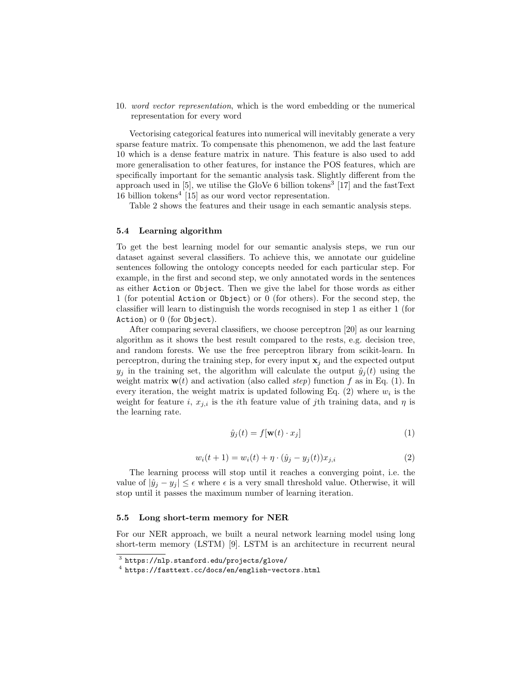10. word vector representation, which is the word embedding or the numerical representation for every word

Vectorising categorical features into numerical will inevitably generate a very sparse feature matrix. To compensate this phenomenon, we add the last feature 10 which is a dense feature matrix in nature. This feature is also used to add more generalisation to other features, for instance the POS features, which are specifically important for the semantic analysis task. Slightly different from the approach used in [5], we utilise the GloVe 6 billion tokens<sup>3</sup> [17] and the fastText 16 billion tokens<sup>4</sup> [15] as our word vector representation.

Table 2 shows the features and their usage in each semantic analysis steps.

#### 5.4 Learning algorithm

To get the best learning model for our semantic analysis steps, we run our dataset against several classifiers. To achieve this, we annotate our guideline sentences following the ontology concepts needed for each particular step. For example, in the first and second step, we only annotated words in the sentences as either Action or Object. Then we give the label for those words as either 1 (for potential Action or Object) or 0 (for others). For the second step, the classifier will learn to distinguish the words recognised in step 1 as either 1 (for Action) or 0 (for Object).

After comparing several classifiers, we choose perceptron [20] as our learning algorithm as it shows the best result compared to the rests, e.g. decision tree, and random forests. We use the free perceptron library from scikit-learn. In perceptron, during the training step, for every input  $x_j$  and the expected output  $y_i$  in the training set, the algorithm will calculate the output  $\hat{y}_i(t)$  using the weight matrix  $\mathbf{w}(t)$  and activation (also called *step*) function f as in Eq. (1). In every iteration, the weight matrix is updated following Eq.  $(2)$  where  $w_i$  is the weight for feature i,  $x_{j,i}$  is the ith feature value of jth training data, and  $\eta$  is the learning rate.

$$
\hat{y}_j(t) = f[\mathbf{w}(t) \cdot x_j] \tag{1}
$$

$$
w_i(t+1) = w_i(t) + \eta \cdot (\hat{y}_j - y_j(t))x_{j,i}
$$
\n(2)

The learning process will stop until it reaches a converging point, i.e. the value of  $|\hat{y}_j - y_j| \leq \epsilon$  where  $\epsilon$  is a very small threshold value. Otherwise, it will stop until it passes the maximum number of learning iteration.

#### 5.5 Long short-term memory for NER

For our NER approach, we built a neural network learning model using long short-term memory (LSTM) [9]. LSTM is an architecture in recurrent neural

 $^3$  https://nlp.stanford.edu/projects/glove/

<sup>4</sup> https://fasttext.cc/docs/en/english-vectors.html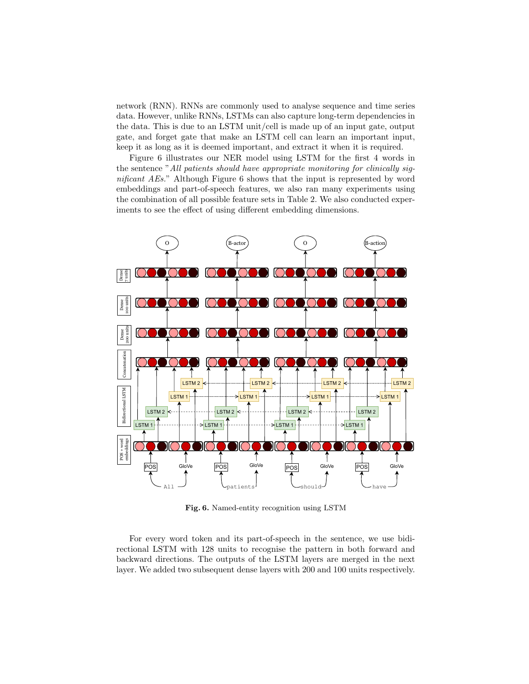network (RNN). RNNs are commonly used to analyse sequence and time series data. However, unlike RNNs, LSTMs can also capture long-term dependencies in the data. This is due to an LSTM unit/cell is made up of an input gate, output gate, and forget gate that make an LSTM cell can learn an important input, keep it as long as it is deemed important, and extract it when it is required.

Figure 6 illustrates our NER model using LSTM for the first 4 words in the sentence "All patients should have appropriate monitoring for clinically significant AEs." Although Figure 6 shows that the input is represented by word embeddings and part-of-speech features, we also ran many experiments using the combination of all possible feature sets in Table 2. We also conducted experiments to see the effect of using different embedding dimensions.



Fig. 6. Named-entity recognition using LSTM

For every word token and its part-of-speech in the sentence, we use bidirectional LSTM with 128 units to recognise the pattern in both forward and backward directions. The outputs of the LSTM layers are merged in the next layer. We added two subsequent dense layers with 200 and 100 units respectively.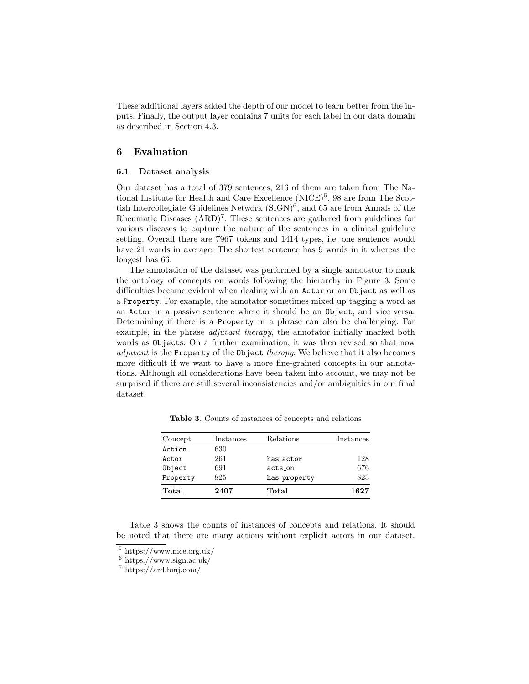These additional layers added the depth of our model to learn better from the inputs. Finally, the output layer contains 7 units for each label in our data domain as described in Section 4.3.

## 6 Evaluation

#### 6.1 Dataset analysis

Our dataset has a total of 379 sentences, 216 of them are taken from The National Institute for Health and Care Excellence  $(NICE)^5$ , 98 are from The Scottish Intercollegiate Guidelines Network  $(SIGN)^6$ , and 65 are from Annals of the Rheumatic Diseases  $(ARD)^7$ . These sentences are gathered from guidelines for various diseases to capture the nature of the sentences in a clinical guideline setting. Overall there are 7967 tokens and 1414 types, i.e. one sentence would have 21 words in average. The shortest sentence has 9 words in it whereas the longest has 66.

The annotation of the dataset was performed by a single annotator to mark the ontology of concepts on words following the hierarchy in Figure 3. Some difficulties became evident when dealing with an Actor or an Object as well as a Property. For example, the annotator sometimes mixed up tagging a word as an Actor in a passive sentence where it should be an Object, and vice versa. Determining if there is a Property in a phrase can also be challenging. For example, in the phrase *adjuvant therapy*, the annotator initially marked both words as Objects. On a further examination, it was then revised so that now adjuvant is the Property of the Object therapy. We believe that it also becomes more difficult if we want to have a more fine-grained concepts in our annotations. Although all considerations have been taken into account, we may not be surprised if there are still several inconsistencies and/or ambiguities in our final dataset.

| Concept  | Instances | Relations    | Instances |
|----------|-----------|--------------|-----------|
| Action   | 630       |              |           |
| Actor    | 261       | has_actor    | 128       |
| Object   | 691       | acts_on      | 676       |
| Property | 825       | has_property | 823       |
| Total    | 2407      | Total        | 1627      |

Table 3. Counts of instances of concepts and relations

Table 3 shows the counts of instances of concepts and relations. It should be noted that there are many actions without explicit actors in our dataset.

 $^5$ https://www.nice.org.uk/

 $6 \text{ https://www.sign.ac.uk/}$ 

<sup>7</sup> https://ard.bmj.com/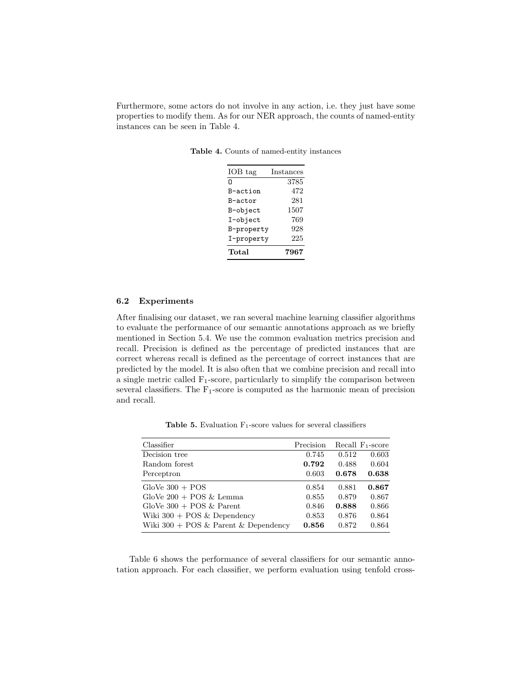Furthermore, some actors do not involve in any action, i.e. they just have some properties to modify them. As for our NER approach, the counts of named-entity instances can be seen in Table 4.

| IOB tag    | Instances |
|------------|-----------|
| n          | 3785      |
| B-action   | 472       |
| B-actor    | 281       |
| B-object   | 1507      |
| I-object   | 769       |
| B-property | 928       |
| I-property | 225       |
| Total      | 7967      |

Table 4. Counts of named-entity instances

#### 6.2 Experiments

After finalising our dataset, we ran several machine learning classifier algorithms to evaluate the performance of our semantic annotations approach as we briefly mentioned in Section 5.4. We use the common evaluation metrics precision and recall. Precision is defined as the percentage of predicted instances that are correct whereas recall is defined as the percentage of correct instances that are predicted by the model. It is also often that we combine precision and recall into a single metric called  $F_1$ -score, particularly to simplify the comparison between several classifiers. The  $F_1$ -score is computed as the harmonic mean of precision and recall.

**Table 5.** Evaluation  $F_1$ -score values for several classifiers

| Classifier                             | Precision |       | Recall $F_1$ -score |
|----------------------------------------|-----------|-------|---------------------|
| Decision tree                          | 0.745     | 0.512 | 0.603               |
| Random forest                          | 0.792     | 0.488 | 0.604               |
| Perceptron                             | 0.603     | 0.678 | 0.638               |
| $GloVe 300 + POS$                      | 0.854     | 0.881 | 0.867               |
| GloVe $200 + POS &$ Lemma              | 0.855     | 0.879 | 0.867               |
| GloVe $300 + POS &$ Parent             | 0.846     | 0.888 | 0.866               |
| Wiki $300 + POS & Dependercy$          | 0.853     | 0.876 | 0.864               |
| Wiki $300 + POS &$ Parent & Dependency | 0.856     | 0.872 | 0.864               |

Table 6 shows the performance of several classifiers for our semantic annotation approach. For each classifier, we perform evaluation using tenfold cross-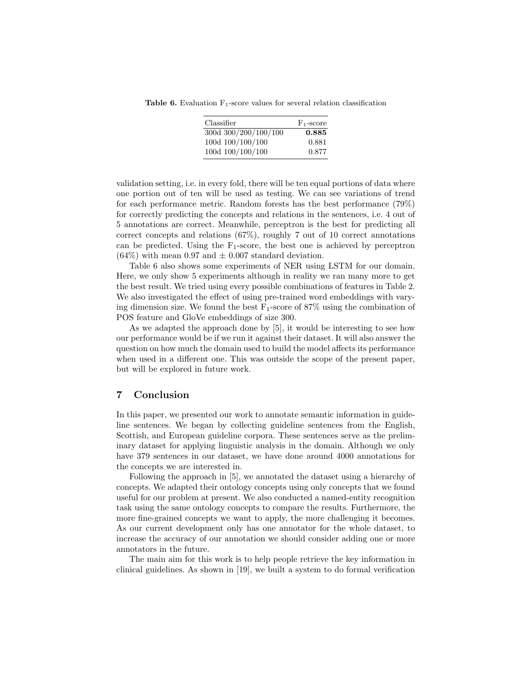**Table 6.** Evaluation  $F_1$ -score values for several relation classification

| Classifier           | $F_1$ -score |
|----------------------|--------------|
| 300d 300/200/100/100 | 0.885        |
| 100d 100/100/100     | 0.881        |
| 100d 100/100/100     | 0.877        |

validation setting, i.e. in every fold, there will be ten equal portions of data where one portion out of ten will be used as testing. We can see variations of trend for each performance metric. Random forests has the best performance (79%) for correctly predicting the concepts and relations in the sentences, i.e. 4 out of 5 annotations are correct. Meanwhile, perceptron is the best for predicting all correct concepts and relations (67%), roughly 7 out of 10 correct annotations can be predicted. Using the  $F_1$ -score, the best one is achieved by perceptron  $(64\%)$  with mean 0.97 and  $\pm$  0.007 standard deviation.

Table 6 also shows some experiments of NER using LSTM for our domain. Here, we only show 5 experiments although in reality we ran many more to get the best result. We tried using every possible combinations of features in Table 2. We also investigated the effect of using pre-trained word embeddings with varying dimension size. We found the best  $F_1$ -score of 87% using the combination of POS feature and GloVe embeddings of size 300.

As we adapted the approach done by [5], it would be interesting to see how our performance would be if we run it against their dataset. It will also answer the question on how much the domain used to build the model affects its performance when used in a different one. This was outside the scope of the present paper, but will be explored in future work.

### 7 Conclusion

In this paper, we presented our work to annotate semantic information in guideline sentences. We began by collecting guideline sentences from the English, Scottish, and European guideline corpora. These sentences serve as the preliminary dataset for applying linguistic analysis in the domain. Although we only have 379 sentences in our dataset, we have done around 4000 annotations for the concepts we are interested in.

Following the approach in [5], we annotated the dataset using a hierarchy of concepts. We adapted their ontology concepts using only concepts that we found useful for our problem at present. We also conducted a named-entity recognition task using the same ontology concepts to compare the results. Furthermore, the more fine-grained concepts we want to apply, the more challenging it becomes. As our current development only has one annotator for the whole dataset, to increase the accuracy of our annotation we should consider adding one or more annotators in the future.

The main aim for this work is to help people retrieve the key information in clinical guidelines. As shown in [19], we built a system to do formal verification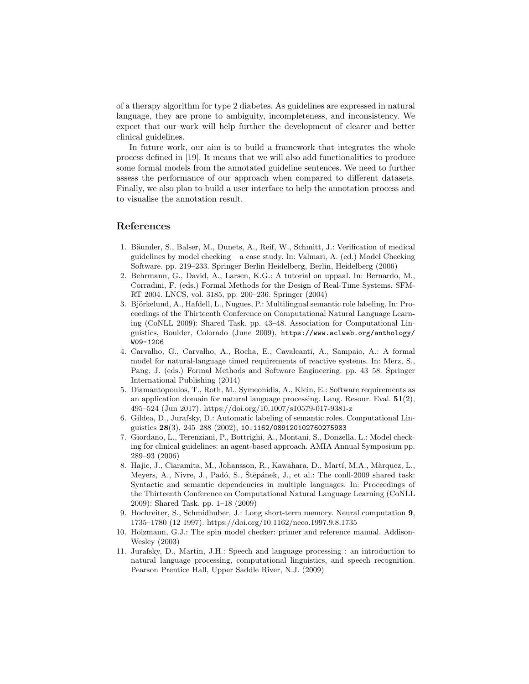of a therapy algorithm for type 2 diabetes. As guidelines are expressed in natural language, they are prone to ambiguity, incompleteness, and inconsistency. We expect that our work will help further the development of clearer and better clinical guidelines.

In future work, our aim is to build a framework that integrates the whole process defined in [19]. It means that we will also add functionalities to produce some formal models from the annotated guideline sentences. We need to further assess the performance of our approach when compared to different datasets. Finally, we also plan to build a user interface to help the annotation process and to visualise the annotation result.

## References

- 1. Bäumler, S., Balser, M., Dunets, A., Reif, W., Schmitt, J.: Verification of medical guidelines by model checking – a case study. In: Valmari, A. (ed.) Model Checking Software. pp. 219–233. Springer Berlin Heidelberg, Berlin, Heidelberg (2006)
- 2. Behrmann, G., David, A., Larsen, K.G.: A tutorial on uppaal. In: Bernardo, M., Corradini, F. (eds.) Formal Methods for the Design of Real-Time Systems. SFM-RT 2004. LNCS, vol. 3185, pp. 200–236. Springer (2004)
- 3. Björkelund, A., Hafdell, L., Nugues, P.: Multilingual semantic role labeling. In: Proceedings of the Thirteenth Conference on Computational Natural Language Learning (CoNLL 2009): Shared Task. pp. 43–48. Association for Computational Linguistics, Boulder, Colorado (June 2009), https://www.aclweb.org/anthology/ W09-1206
- 4. Carvalho, G., Carvalho, A., Rocha, E., Cavalcanti, A., Sampaio, A.: A formal model for natural-language timed requirements of reactive systems. In: Merz, S., Pang, J. (eds.) Formal Methods and Software Engineering. pp. 43–58. Springer International Publishing (2014)
- 5. Diamantopoulos, T., Roth, M., Symeonidis, A., Klein, E.: Software requirements as an application domain for natural language processing. Lang. Resour. Eval.  $51(2)$ , 495–524 (Jun 2017). https://doi.org/10.1007/s10579-017-9381-z
- 6. Gildea, D., Jurafsky, D.: Automatic labeling of semantic roles. Computational Linguistics 28(3), 245–288 (2002), 10.1162/089120102760275983
- 7. Giordano, L., Terenziani, P., Bottrighi, A., Montani, S., Donzella, L.: Model checking for clinical guidelines: an agent-based approach. AMIA Annual Symposium pp. 289–93 (2006)
- 8. Hajic, J., Ciaramita, M., Johansson, R., Kawahara, D., Martí, M.A., Màrquez, L., Meyers, A., Nivre, J., Padó, S., Štěpánek, J., et al.: The conll-2009 shared task: Syntactic and semantic dependencies in multiple languages. In: Proceedings of the Thirteenth Conference on Computational Natural Language Learning (CoNLL 2009): Shared Task. pp. 1–18 (2009)
- 9. Hochreiter, S., Schmidhuber, J.: Long short-term memory. Neural computation 9, 1735–1780 (12 1997). https://doi.org/10.1162/neco.1997.9.8.1735
- 10. Holzmann, G.J.: The spin model checker: primer and reference manual. Addison-Wesley (2003)
- 11. Jurafsky, D., Martin, J.H.: Speech and language processing : an introduction to natural language processing, computational linguistics, and speech recognition. Pearson Prentice Hall, Upper Saddle River, N.J. (2009)